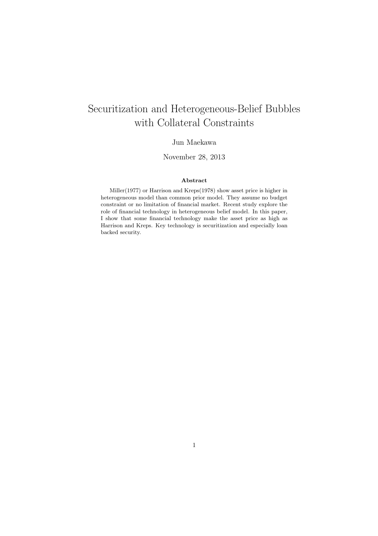# Securitization and Heterogeneous-Belief Bubbles with Collateral Constraints

## Jun Maekawa

## November 28, 2013

#### **Abstract**

Miller(1977) or Harrison and Kreps(1978) show asset price is higher in heterogeneous model than common prior model. They assume no budget constraint or no limitation of financial market. Recent study explore the role of financial technology in heterogeneous belief model. In this paper, I show that some financial technology make the asset price as high as Harrison and Kreps. Key technology is securitization and especially loan backed security.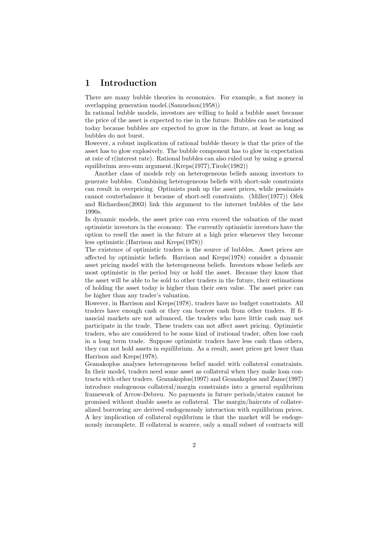# **1 Introduction**

There are many bubble theories in economics. For example, a fiat money in overlapping generation model.(Samuelson(1958))

In rational bubble models, investors are willing to hold a bubble asset because the price of the asset is expected to rise in the future. Bubbles can be sustained today because bubbles are expected to grow in the future, at least as long as bubbles do not burst.

However, a robust implication of rational bubble theory is that the price of the asset has to glow explosively. The bubble component has to glow in expectation at rate of r(interest rate). Rational bubbles can also ruled out by using a general equilibrium zero-sum argument.(Kreps(1977),Tirole(1982))

Another class of models rely on heterogeneous beliefs among investors to generate bubbles. Combining heterogeneous beliefs with short-sale constraints can result in overpricing. Optimists push up the asset prices, while pessimists cannot couterbalance it because of short-sell constraints. (Miller(1977)) Ofek and Richardson(2003) link this argument to the internet bubbles of the late 1990s.

In dynamic models, the asset price can even exceed the valuation of the most optimistic investors in the economy. The currently optimistic investors have the option to resell the asset in the future at a high price whenever they become less optimistic.(Harrison and Kreps(1978))

The existence of optimistic traders is the source of bubbles. Asset prices are affected by optimistic beliefs. Harrison and Kreps(1978) consider a dynamic asset pricing model with the heterogeneous beliefs. Investors whose beliefs are most optimistic in the period buy or hold the asset. Because they know that the asset will be able to be sold to other traders in the future, their estimations of holding the asset today is higher than their own value. The asset price can be higher than any trader's valuation.

However, in Harrison and Kreps(1978), traders have no budget constraints. All traders have enough cash or they can borrow cash from other traders. If financial markets are not advanced, the traders who have little cash may not participate in the trade. These traders can not affect asset pricing. Optimistic traders, who are considered to be some kind of irational trader, often lose cash in a long term trade. Suppose optimistic traders have less cash than others, they can not hold assets in equilibrium. As a result, asset prices get lower than Harrison and Kreps(1978).

Geanakoplos analyses heterogeneous belief model with collateral constraints. In their model, traders need some asset as collateral when they make loan contracts with other traders. Geanakoplos(1997) and Geanakoplos and Zame(1997) introduce endogenous collateral/margin constraints into a general equlibrium framework of Arrow-Debreu. No payments in future periods/states cannot be promised without duable assets as collateral. The margin/haircuts of collateralized borrowing are derived endogenously interaction with equilibrium prices. A key implication of collateral equlibrium is that the market will be endogenously incomplete. If collateral is scarece, only a small subset of contracts will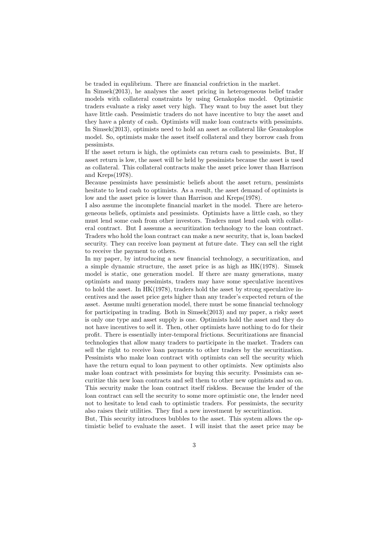be traded in equlibrium. There are financial confriction in the market.

In Simsek(2013), he analyses the asset pricing in heterogeneous belief trader models with collateral constraints by using Genakoplos model. Optimistic traders evaluate a risky asset very high. They want to buy the asset but they have little cash. Pessimistic traders do not have incentive to buy the asset and they have a plenty of cash. Optimists will make loan contracts with pessimists. In Simsek(2013), optimists need to hold an asset as collateral like Geanakoplos model. So, optimists make the asset itself collateral and they borrow cash from pessimists.

If the asset return is high, the optimists can return cash to pessimists. But, If asset return is low, the asset will be held by pessimists because the asset is used as collateral. This collateral contracts make the asset price lower than Harrison and Kreps(1978).

Because pessimists have pessimistic beliefs about the asset return, pessimists hesitate to lend cash to optimists. As a result, the asset demand of optimists is low and the asset price is lower than Harrison and Kreps(1978).

I also assume the incomplete financial market in the model. There are heterogeneous beliefs, optimists and pessimists. Optimists have a little cash, so they must lend some cash from other investors. Traders must lend cash with collateral contract. But I asssume a securitization technology to the loan contract. Traders who hold the loan contract can make a new security, that is, loan backed security. They can receive loan payment at future date. They can sell the right to receive the payment to others.

In my paper, by introducing a new financial technology, a securitization, and a simple dynamic structure, the asset price is as high as HK(1978). Simsek model is static, one generation model. If there are many generations, many optimists and many pessimists, traders may have some speculative incentives to hold the asset. In HK(1978), traders hold the asset by strong speculative incentives and the asset price gets higher than any trader's expected return of the asset. Assume multi generation model, there must be some financial technology for participating in trading. Both in Simsek(2013) and my paper, a risky asset is only one type and asset supply is one. Optimists hold the asset and they do not have incentives to sell it. Then, other optimists have nothing to do for their profit. There is essentially inter-temporal frictions. Securitizations are financial technologies that allow many traders to participate in the market. Traders can sell the right to receive loan payments to other traders by the securitization. Pessimists who make loan contract with optimists can sell the security which have the return equal to loan payment to other optimists. New optimists also make loan contract with pessimists for buying this security. Pessimists can securitize this new loan contracts and sell them to other new optimists and so on. This security make the loan contract itself riskless. Because the lender of the loan contract can sell the security to some more optimistic one, the lender need not to hesitate to lend cash to optimistic traders. For pessimists, the security also raises their utilities. They find a new investment by securitization.

But, This security introduces bubbles to the asset. This system allows the optimistic belief to evaluate the asset. I will insist that the asset price may be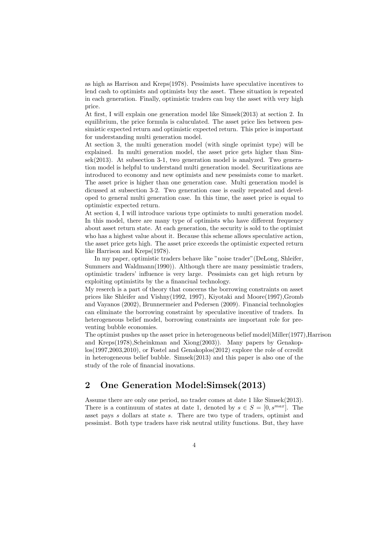as high as Harrison and Kreps(1978). Pessimists have speculative incentives to lend cash to optimists and optimists buy the asset. These situation is repeated in each generation. Finally, optimistic traders can buy the asset with very high price.

At first, I will explain one generation model like Simsek(2013) at section 2. In equilibrium, the price formula is caluculated. The asset price lies between pessimistic expected return and optimistic expected return. This price is important for understanding multi generation model.

At section 3, the multi generation model (with single oprimist type) will be explained. In multi generation model, the asset price gets higher than Simsek(2013). At subsection 3-1, two generation model is analyzed. Two generation model is helpful to understand multi generation model. Securitizations are introduced to economy and new optimists and new pessimists come to market. The asset price is higher than one generation case. Multi generation model is dicussed at subsection 3-2. Two generation case is easily repeated and developed to general multi generation case. In this time, the asset price is equal to optimistic expected return.

At section 4, I will introduce various type optimists to multi generation model. In this model, there are many type of optimists who have different frequency about asset return state. At each generation, the security is sold to the optimist who has a highest value about it. Because this scheme allows speculative action, the asset price gets high. The asset price exceeds the optimistic expected return like Harrison and Kreps(1978).

In my paper, optimistic traders behave like "noise trader"(DeLong, Shleifer, Summers and Waldmann(1990)). Although there are many pessimistic traders, optimistic traders' influence is very large. Pessimists can get high return by exploiting optimistits by the a financiual technology.

My reserch is a part of theory that concerns the borrowing constraints on asset prices like Shleifer and Vishny(1992, 1997), Kiyotaki and Moore(1997),Gromb and Vayanos (2002), Brunnermeier and Pedersen (2009). Financial technologies can eliminate the borrowing constraint by speculative incentive of traders. In heterogeneous belief model, borrowing constraints are important role for preventing bubble economies.

The optimist pushes up the asset price in heterogeneous belief model(Miller(1977),Harrison and Kreps(1978),Scheinkman and Xiong(2003)). Many papers by Genakoplos(1997,2003,2010), or Fostel and Genakoplos(2012) explore the role of ccredit in heterogeneous belief bubble. Simsek(2013) and this paper is also one of the study of the role of financial inovations.

# **2 One Generation Model:Simsek(2013)**

Assume there are only one period, no trader comes at date 1 like Simsek(2013). There is a continuum of states at date 1, denoted by  $s \in S = [0, s^{max}]$ . The asset pays *s* dollars at state *s*. There are two type of traders, optimist and pessimist. Both type traders have risk neutral utility functions. But, they have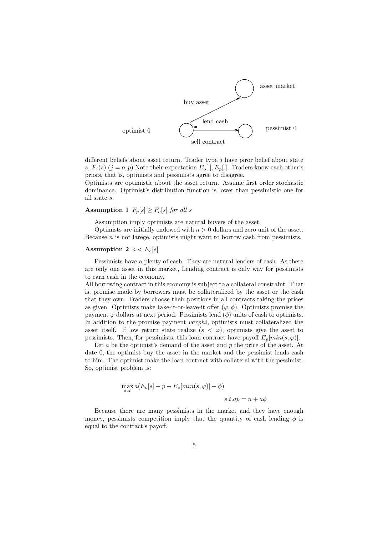

different beliefs about asset return. Trader type *j* have piror belief about state *s*,  $F_i(s)$ . $(j = o, p)$  Note their expectation  $E_o[.]$ ,  $E_p[.]$ . Traders know each other's priors, that is, optimists and pessimists agree to disagree.

Optimists are optimistic about the asset return. Assume first order stochastic dominance. Optimist's distribution function is lower than pessimistic one for all state *s*.

### **Assumption 1**  $F_p[s] \geq F_o[s]$  *for all s*

Assumption imply optimists are natural buyers of the asset.

Optimists are initially endowed with *n >* 0 dollars and zero unit of the asset. Because *n* is not larege, optimists might want to borrow cash from pessimists.

#### **Assumption 2**  $n < E_o[s]$

Pessimists have a plenty of cash. They are natural lenders of cash. As there are only one asset in this market, Lending contract is only way for pessimists to earn cash in the economy.

All borrowing contract in this economy is subject to a collateral constraint. That is, promise made by borrowers must be collateralized by the asset or the cash that they own. Traders choose their positions in all contracts taking the prices as given. Optimists make take-it-or-leave-it offer  $(\varphi, \phi)$ . Optimists promise the payment  $\varphi$  dollars at next period. Pessimists lend  $(\phi)$  units of cash to optimists. In addition to the promise payment *varphi*, optimists must collateralized the asset itself. If low return state realize  $(s < \varphi)$ , optimists give the asset to pessimists. Then, for pessimists, this loan contract have payoff  $E_p[\min(s, \varphi)]$ .

Let *a* be the optimist's demand of the asset and *p* the price of the asset. At date 0, the optimist buy the asset in the market and the pessimist lends cash to him. The optimist make the loan contract with collateral with the pessimist. So, optimist problem is:

$$
\max_{a,\varphi} a(E_o[s] - p - E_o[\min(s,\varphi)] - \phi)
$$
  
s.t.  $ap = n + a\phi$ 

Because there are many pessimists in the market and they have enough money, pessimists competition imply that the quantity of cash lending  $\phi$  is equal to the contract's payoff.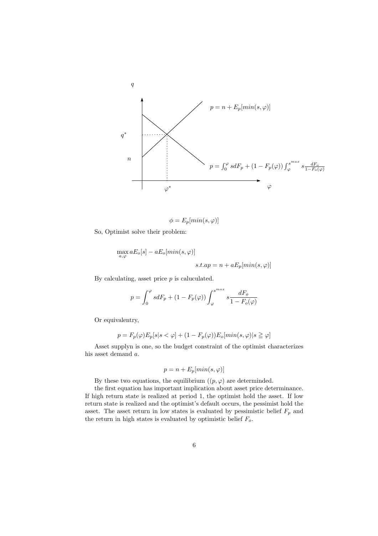

$$
\phi = E_p[\min(s, \varphi)]
$$

So, Optimist solve their problem:

$$
\max_{a,\varphi} aE_o[s] - aE_o[\min(s,\varphi)]
$$
  

$$
s.t.ap = n + aE_p[\min(s,\varphi)]
$$

By calculating, asset price *p* is caluculated.

$$
p = \int_0^{\varphi} s dF_p + (1 - F_p(\varphi)) \int_{\varphi}^{s^{max}} s \frac{dF_o}{1 - F_o(\varphi)}
$$

Or equivalentry,

$$
p = F_p(\varphi)E_p[s|s < \varphi] + (1 - F_p(\varphi))E_o[\min(s, \varphi)|s \ge \varphi]
$$

Asset supplyn is one, so the budget constraint of the optimist characterizes his asset demand *a*.

$$
p = n + E_p[\min(s, \varphi)]
$$

By these two equations, the equilibrium  $((p, \varphi)$  are determinded.

the first equation has important implication about asset price determinance. If high return state is realized at period 1, the optimist hold the asset. If low return state is realized and the optimist's default occurs, the pessimist hold the asset. The asset return in low states is evaluated by pessimistic belief  $F_p$  and the return in high states is evaluated by optimistic belief *Fo*.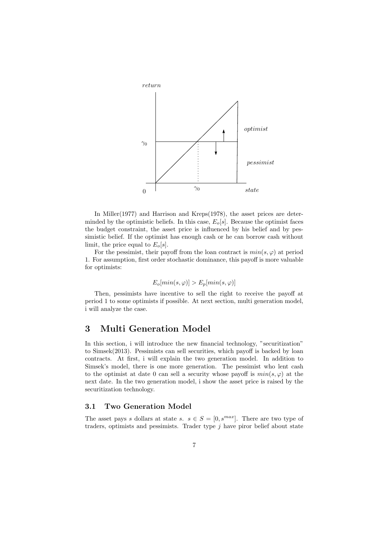

In Miller(1977) and Harrison and Kreps(1978), the asset prices are determinded by the optimistic beliefs. In this case,  $E_o[s]$ . Because the optimist faces the budget constraint, the asset price is influenced by his belief and by pessimistic belief. If the optimist has enough cash or he can borrow cash without limit, the price equal to  $E_o[s]$ .

For the pessimist, their payoff from the loan contract is  $min(s, \varphi)$  at period 1. For assumption, first order stochastic dominance, this payoff is more valuable for optimists:

$$
E_o[\min(s, \varphi)] > E_p[\min(s, \varphi)]
$$

Then, pessimists have incentive to sell the right to receive the payoff at period 1 to some optimists if possible. At next section, multi generation model, i will analyze the case.

## **3 Multi Generation Model**

In this section, i will introduce the new financial technology, "securitization" to Simsek(2013). Pessimists can sell securities, which payoff is backed by loan contracts. At first, i will explain the two generation model. In addition to Simsek's model, there is one more generation. The pessimist who lent cash to the optimist at date 0 can sell a security whose payoff is  $min(s, \varphi)$  at the next date. In the two generation model, i show the asset price is raised by the securitization technology.

#### **3.1 Two Generation Model**

The asset pays *s* dollars at state *s*.  $s \in S = [0, s^{max}]$ . There are two type of traders, optimists and pessimists. Trader type *j* have piror belief about state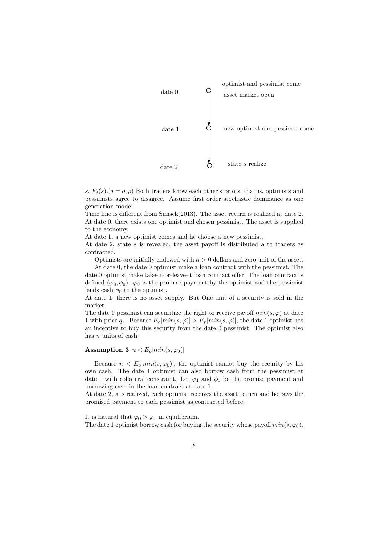

*s*,  $F_i(s)$ .( $j = o, p$ ) Both traders know each other's priors, that is, optimists and pessimists agree to disagree. Assume first order stochastic dominance as one generation model.

Time line is different from Simsek(2013). The asset return is realized at date 2. At date 0, there exists one optimist and chosen pessimist. The asset is supplied to the economy.

At date 1, a new optimist comes and he choose a new pessimist.

At date 2, state *s* is revealed, the asset payoff is distributed a to traders as contracted.

Optimists are initially endowed with  $n > 0$  dollars and zero unit of the asset.

At date 0, the date 0 optimist make a loan contract with the pessimist. The date 0 optimist make take-it-or-leave-it loan contract offer. The loan contract is defined  $(\varphi_0, \phi_0)$ .  $\varphi_0$  is the promise payment by the optimist and the pessimist lends cash  $\phi_0$  to the optimist.

At date 1, there is no asset supply. But One unit of a security is sold in the market.

The date 0 pessimist can securitize the right to receive payoff  $min(s, \varphi)$  at date 1 with price  $q_1$ . Because  $E_o[\min(s, \varphi)] > E_p[\min(s, \varphi)]$ , the date 1 optimist has an incentive to buy this security from the date 0 pessimist. The optimist also has *n* units of cash.

#### **Assumption 3**  $n < E_o[\min(s, \varphi_0)]$

Because  $n < E_o$ [*min*( $s, \varphi_0$ )], the optimist cannot buy the security by his own cash. The date 1 optimist can also borrow cash from the pessimist at date 1 with collateral constraint. Let  $\varphi_1$  and  $\phi_1$  be the promise payment and borrowing cash in the loan contract at date 1.

At date 2, *s* is realized, each optimist receives the asset return and he pays the promised payment to each pessimist as contracted before.

It is natural that  $\varphi_0 > \varphi_1$  in equilibrium. The date 1 optimist borrow cash for buying the security whose payoff  $min(s, \varphi_0)$ .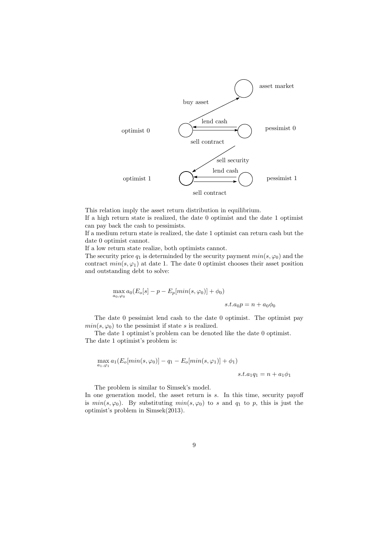

This relation imply the asset return distribution in equilibrium.

If a high return state is realized, the date 0 optimist and the date 1 optimist can pay back the cash to pessimists.

If a medium return state is realized, the date 1 optimist can return cash but the date 0 optimist cannot.

If a low return state realize, both optimists cannot.

The security price  $q_1$  is determinded by the security payment  $min(s, \varphi_0)$  and the contract  $min(s, \varphi_1)$  at date 1. The date 0 optimist chooses their asset position and outstanding debt to solve:

$$
\max_{a_0,\varphi_0} a_0 (E_o[s] - p - E_p[\min(s,\varphi_0)] + \phi_0)
$$
  

$$
s.t. a_0 p = n + a_0 \phi_0
$$

The date 0 pessimist lend cash to the date 0 optimist. The optimist pay  $min(s, \varphi_0)$  to the pessimist if state *s* is realized.

The date 1 optimist's problem can be denoted like the date 0 optimist. The date 1 optimist's problem is:

$$
\max_{a_1,\varphi_1} a_1(E_o[\min(s,\varphi_0)] - q_1 - E_o[\min(s,\varphi_1)] + \phi_1)
$$
  

$$
s.t. a_1q_1 = n + a_1\phi_1
$$

The problem is similar to Simsek's model.

In one generation model, the asset return is *s*. In this time, security payoff is  $min(s, \varphi_0)$ . By substituting  $min(s, \varphi_0)$  to *s* and  $q_1$  to *p*, this is just the optimist's problem in Simsek(2013).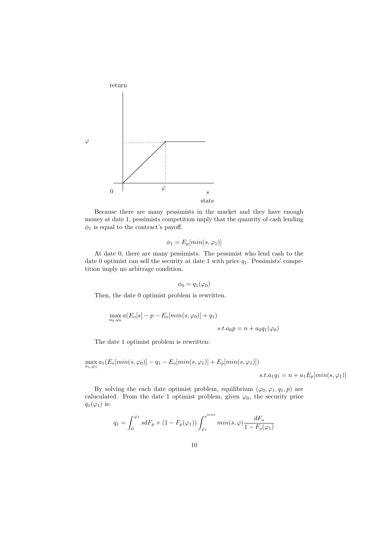

Because there are many pessimists in the market and they have enough money at date 1, pessimists competition imply that the quantity of cash lending  $\phi_1$  is equal to the contract's payoff.

$$
\phi_1 = E_p[\min(s, \varphi_1)]
$$

At date 0, there are many pessimists. The pessimist who lend cash to the date 0 optimist can sell the security at date 1 with price  $q_1$ . Pessimists' competition imply no arbitrage condition.

$$
\phi_0=q_1(\varphi_0)
$$

Then, the date 0 optimist problem is rewritten.

$$
\max_{a_0,\varphi_0} a(E_o[s] - p - E_o[\min(s, \varphi_0)] + q_1)
$$
  

$$
s.t. a_0p = n + a_0q_1(\varphi_0)
$$

The date 1 optimist problem is rewritten:

$$
\max_{a_1,\varphi_1} a_1(E_o[\min(s,\varphi_0)] - q_1 - E_o[\min(s,\varphi_1)] + E_p[\min(s,\varphi_1)])
$$
  

$$
s.t. a_1q_1 = n + a_1E_p[\min(s,\varphi_1)]
$$

By solving the each date optimist problem, equilibrium  $(\varphi_0, \varphi_1, q_1, p)$  are caluculated. From the date 1 optimist problem, given  $\varphi_0$ , the security price  $q_1(\varphi_1)$  is:

$$
q_1=\int_0^{\varphi_1}s dF_p+(1-F_p(\varphi_1))\int_{\varphi_1}^{s^{max}}min(s,\varphi)\frac{dF_o}{1-F_o(\varphi_1)}
$$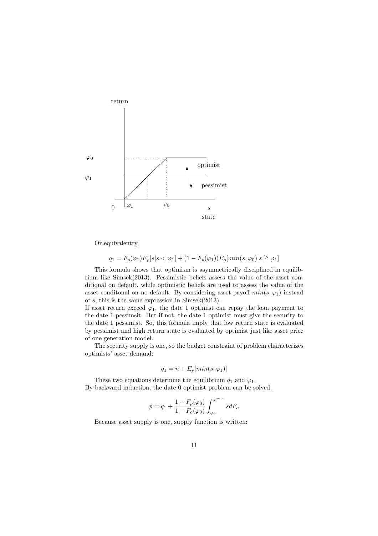

Or equivalentry,

$$
q_1 = F_p(\varphi_1)E_p[s|s < \varphi_1] + (1 - F_p(\varphi_1))E_o[\min(s, \varphi_0)|s \ge \varphi_1]
$$

This formula shows that optimism is asymmetrically disciplined in equilibrium like Simsek(2013). Pessimistic beliefs assess the value of the asset conditional on default, while optimistic beliefs are used to assess the value of the asset conditional on no default. By considering asset payoff  $min(s, \varphi_1)$  instead of *s*, this is the same expression in Simsek(2013).

If asset return exceed  $\varphi_1$ , the date 1 optimist can repay the loan payment to the date 1 pessimsit. But if not, the date 1 optimist must give the security to the date 1 pessimist. So, this formula imply that low return state is evaluated by pessimist and high return state is evaluated by optimist just like asset price of one generation model.

The security supply is one, so the budget constraint of problem characterizes optimists' asset demand:

$$
q_1 = n + E_p[\min(s, \varphi_1)]
$$

These two equations determine the equilibrium  $q_1$  and  $\varphi_1$ . By backward induction, the date 0 optimist problem can be solved.

$$
p=q_1+\frac{1-F_p(\varphi_0)}{1-F_o(\varphi_0)}\int_{\varphi_0}^{s^{max}}sdF_o
$$

Because asset supply is one, supply function is written: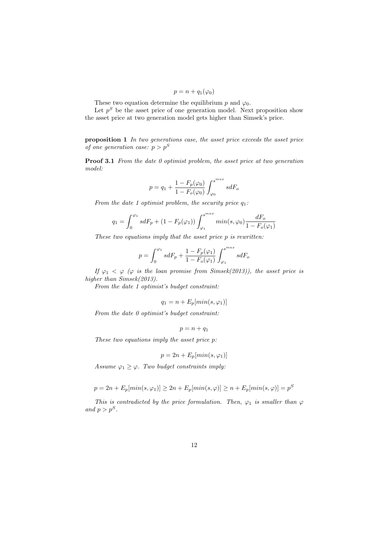$$
p = n + q_1(\varphi_0)
$$

These two equation determine the equilibrium  $p$  and  $\varphi_0$ .

Let  $p<sup>S</sup>$  be the asset price of one generation model. Next proposition show the asset price at two generation model gets higher than Simsek's price.

**proposition 1** *In two generations case, the asset price exceeds the asset price of one generation case:*  $p > p^S$ 

**Proof 3.1** *From the date 0 optimist problem, the asset price at two generation model:*

$$
p=q_1+\frac{1-F_p(\varphi_0)}{1-F_o(\varphi_0)}\int_{\varphi_0}^{s^{max}}sdF_o
$$

*From the date 1 optimist problem, the security price q*1*:*

$$
q_1 = \int_0^{\varphi_1} s dF_p + (1 - F_p(\varphi_1)) \int_{\varphi_1}^{s^{max}} min(s, \varphi_0) \frac{dF_o}{1 - F_o(\varphi_1)}
$$

*These two equations imply that the asset price p is rewritten:*

$$
p=\int_0^{\varphi_1}sdF_p+\frac{1-F_p(\varphi_1)}{1-F_o(\varphi_1)}\int_{\varphi_1}^{s^{max}}sdF_o
$$

*If*  $\varphi_1 < \varphi$  ( $\varphi$  *is the loan promise from Simsek(2013)), the asset price is higher than Simsek(2013).*

*From the date 1 optimist's budget constraint:*

$$
q_1 = n + E_p[\min(s, \varphi_1)]
$$

*From the date 0 optimist's budget constraint:*

 $p = n + q_1$ 

*These two equations imply the asset price p:*

$$
p = 2n + E_p[\min(s, \varphi_1)]
$$

*Assume*  $\varphi_1 \geq \varphi$ *. Two budget constraints imply:* 

$$
p = 2n + E_p[\min(s, \varphi_1)] \ge 2n + E_p[\min(s, \varphi)] \ge n + E_p[\min(s, \varphi)] = p^S
$$

*This is contradicted by the price formulation. Then,*  $\varphi_1$  *is smaller than*  $\varphi$ *and*  $p > p^S$ .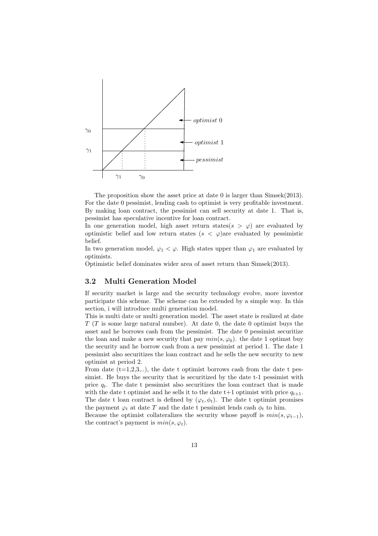

The proposition show the asset price at date 0 is larger than Simsek(2013). For the date 0 pessimist, lending cash to optimist is very profitable investment. By making loan contract, the pessimist can sell security at date 1. That is, pessimist has speculative incentive for loan contract.

In one generation model, high asset return states( $s > \varphi$ ) are evaluated by optimistic belief and low return states  $(s < \varphi)$ are evaluated by pessimistic belief.

In two generation model,  $\varphi_1 < \varphi$ . High states upper than  $\varphi_1$  are evaluated by optimists.

Optimistic belief dominates wider area of asset return than Simsek(2013).

#### **3.2 Multi Generation Model**

If security market is large and the security technology evolve, more investor participate this scheme. The scheme can be extended by a simple way. In this section, i will introduce multi generation model.

This is multi date or multi generation model. The asset state is realized at date *T* (*T* is some large natural number). At date 0, the date 0 optimist buys the asset and he borrows cash from the pessimist. The date 0 pessimist securitize the loan and make a new security that pay  $min(s, \varphi_0)$ . the date 1 optimst buy the security and he borrow cash from a new pessimist at period 1. The date 1 pessimist also securitizes the loan contract and he sells the new security to new optimist at period 2.

From date  $(t=1,2,3, ...)$ , the date t optimist borrows cash from the date t pessimist. He buys the security that is securitized by the date t-1 pessimist with price  $q_t$ . The date t pessimist also securitizes the loan contract that is made with the date t optimist and he sells it to the date  $t+1$  optimist with price  $q_{t+1}$ . The date t loan contract is defined by  $(\varphi_t, \phi_t)$ . The date t optimist promises the payment  $\varphi_t$  at date *T* and the date t pessimist lends cash  $\phi_t$  to him.

Because the optimist collateralizes the security whose payoff is  $min(s, \varphi_{t-1}),$ the contract's payment is  $min(s, \varphi_t)$ .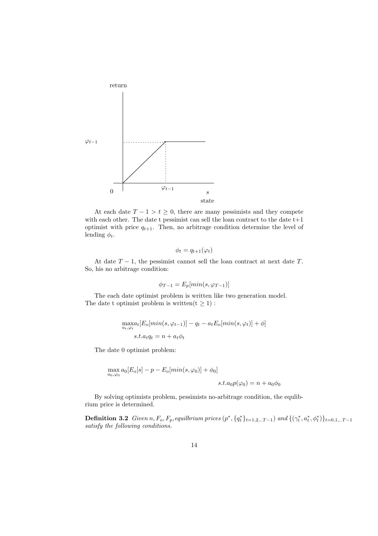

At each date  $T - 1 > t \geq 0$ , there are many pessimists and they compete with each other. The date t pessimist can sell the loan contract to the date  $t+1$ optimist with price  $q_{t+1}$ . Then, no arbitrage condition determine the level of lending  $\phi_t$ .

$$
\phi_t = q_{t+1}(\varphi_t)
$$

At date  $T-1$ , the pessimist cannot sell the loan contract at next date  $T$ . So, his no arbitrage condition:

$$
\phi_{T-1} = E_p[\min(s, \varphi_{T-1})]
$$

The each date optimist problem is written like two generation model. The date t optimist problem is written( $t \geq 1$ ) :

$$
\max_{a_t, \varphi_t} [E_o[\min(s, \varphi_{t-1})] - q_t - a_t E_o[\min(s, \varphi_t)] + \phi]
$$
  
s.t.  $a_t q_t = n + a_t \phi_t$ 

The date 0 optimist problem:

$$
\max_{a_0,\varphi_0} a_0 [E_o[s] - p - E_o [min(s, \varphi_0)] + \phi_0]
$$
  

$$
s.t. a_0 p(\varphi_0) = n + a_0 \phi_0
$$

By solving optimists problem, pessimists no-arbitrage condition, the equlibrium price is determined.

**Definition 3.2** Given  $n, F_o, F_p$ , equilibrium prices  $(p^*, \{q^*_t\}_{t=1,2...T-1})$  and  $\{(\gamma^*_t, a^*_t, \phi^*_t)\}_{t=0,1...T-1}$ *satisfy the following conditions.*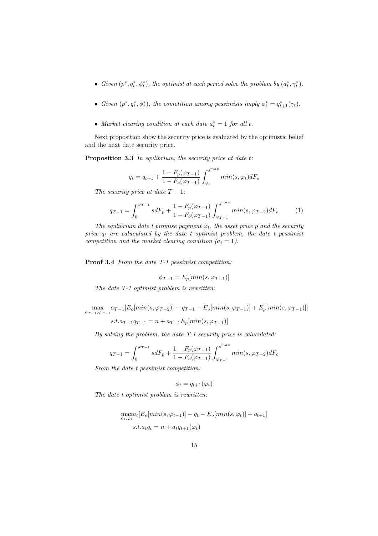- *Given*  $(p^*, q_t^*, \phi_t^*)$ , the optimist at each period solve the problem by  $(a_t^*, \gamma_t^*)$ .
- Given  $(p^*, q_t^*, \phi_t^*)$ , the cometition among pessimists imply  $\phi_t^* = q_{t+1}^*(\gamma_t)$ .
- *Market clearing condition at each date*  $a_t^* = 1$  *for all t.*

Next proposition show the security price is evaluated by the optimistic belief and the next date security price.

**Proposition 3.3** *In equlibrium, the security price at date t:*

$$
q_t = q_{t+1} + \frac{1 - F_p(\varphi_{T-1})}{1 - F_o(\varphi_{T-1})} \int_{\varphi_t}^{s^{max}} min(s, \varphi_t) dF_o
$$

*The security price at date*  $T-1$ *:* 

$$
q_{T-1} = \int_0^{\varphi_{T-1}} s dF_p + \frac{1 - F_p(\varphi_{T-1})}{1 - F_o(\varphi_{T-1})} \int_{\varphi_{T-1}}^{s^{max}} min(s, \varphi_{T-2}) dF_o \tag{1}
$$

*The equlibrium date t promise payment*  $\varphi_t$ *, the asset price p and the security price q<sup>t</sup> are caluculated by the date t optimist problem, the date t pessimist competition and the market clearing condition*  $(a_t = 1)$ *.* 

**Proof 3.4** *From the date T-1 pessimist competition:*

$$
\phi_{T-1} = E_p[\min(s, \varphi_{T-1})]
$$

*The date T-1 optimist problem is rewritten:*

$$
\max_{a_{T-1}, \varphi_{T-1}} a_{T-1} [E_o[\min(s, \varphi_{T-2})] - q_{T-1} - E_o[\min(s, \varphi_{T-1})] + E_p[\min(s, \varphi_{T-1})]]
$$

 $s.t. a_{T-1}q_{T-1} = n + a_{T-1}E_p[\min(s, \varphi_{T-1})]$ 

*By solving the problem, the date T-1 security price is caluculated:*

$$
q_{T-1} = \int_0^{\varphi_{T-1}} s dF_p + \frac{1-F_p(\varphi_{T-1})}{1-F_o(\varphi_{T-1})} \int_{\varphi_{T-1}}^{s^{max}} min(s,\varphi_{T-2}) dF_o
$$

*From the date t pessimist competition:*

$$
\phi_t = q_{t+1}(\varphi_t)
$$

*The date t optimist problem is rewritten:*

$$
\max_{a_t, \varphi_t} [E_o[\min(s, \varphi_{t-1})] - q_t - E_o[\min(s, \varphi_t)] + q_{t+1}]
$$
  
s.t.  $a_t q_t = n + a_t q_{t+1}(\varphi_t)$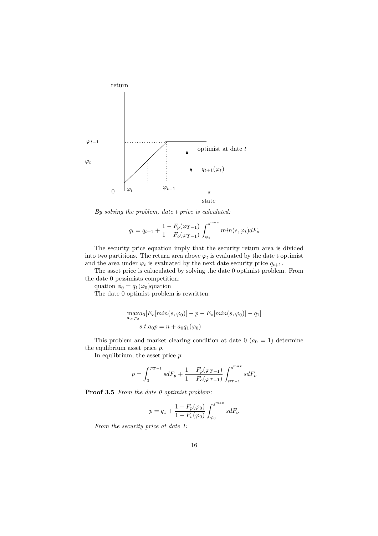

*By solving the problem, date t price is calculated:*

$$
q_t = q_{t+1} + \frac{1 - F_p(\varphi_{T-1})}{1 - F_o(\varphi_{T-1})} \int_{\varphi_t}^{s^{max}} min(s, \varphi_t) dF_o
$$

The security price equation imply that the security return area is divided into two partitions. The return area above  $\varphi_t$  is evaluated by the date t optimist and the area under  $\varphi_t$  is evaluated by the next date security price  $q_{t+1}$ .

The asset price is caluculated by solving the date 0 optimist problem. From the date 0 pessimists competition:

quation  $\phi_0 = q_1(\varphi_0)$ quation

The date 0 optimist problem is rewritten:

$$
\max_{a_0,\varphi_0} [E_o[\min(s,\varphi_0)] - p - E_o[\min(s,\varphi_0)] - q_1]
$$
  
s.t. $a_0p = n + a_0q_1(\varphi_0)$ 

This problem and market clearing condition at date  $0$  ( $a_0 = 1$ ) determine the equlibrium asset price *p*.

In equlibrium, the asset price *p*:

$$
p = \int_0^{\varphi_{T-1}} s dF_p + \frac{1 - F_p(\varphi_{T-1})}{1 - F_o(\varphi_{T-1})} \int_{\varphi_{T-1}}^{s^{max}} s dF_o
$$

**Proof 3.5** *From the date 0 optimist problem:*

$$
p=q_1+\frac{1-F_p(\varphi_0)}{1-F_o(\varphi_0)}\int_{\varphi_0}^{s^{max}}sdF_o
$$

*From the security price at date 1:*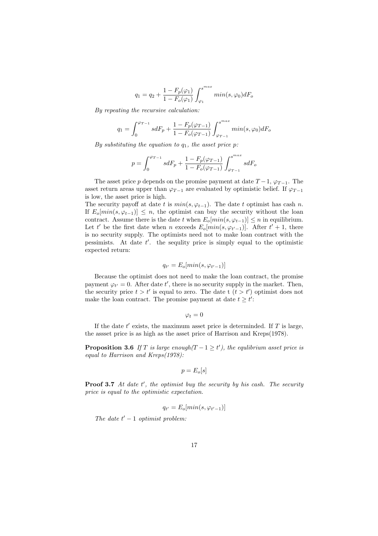$$
q_1 = q_2 + \frac{1 - F_p(\varphi_1)}{1 - F_o(\varphi_1)} \int_{\varphi_1}^{s^{max}} min(s, \varphi_0) dF_o
$$

*By repeating the recursive calculation:*

$$
q_1 = \int_0^{\varphi_{T-1}} s dF_p + \frac{1-F_p(\varphi_{T-1})}{1-F_o(\varphi_{T-1})} \int_{\varphi_{T-1}}^{s^{max}} min(s,\varphi_0) dF_o
$$

*By substituting the equation to q*1*, the asset price p:*

$$
p=\int_0^{\varphi_{T-1}}s dF_p+\frac{1-F_p(\varphi_{T-1})}{1-F_o(\varphi_{T-1})}\int_{\varphi_{T-1}}^{s^{max}}s dF_o
$$

The asset price *p* depends on the promise payment at date  $T-1$ ,  $\varphi_{T-1}$ . The asset return areas upper than  $\varphi_{T-1}$  are evaluated by optimistic belief. If  $\varphi_{T-1}$ is low, the asset price is high.

The security payoff at date *t* is  $min(s, \varphi_{t-1})$ . The date *t* optimist has cash *n*. If  $E_o[\min(s, \varphi_{t-1})] \leq n$ , the optimist can buy the security without the loan contract. Assume there is the date *t* when  $E_o[\min(s, \varphi_{t-1})] \leq n$  in equilibrium. Let *t*' be the first date when *n* exceeds  $E_o[\min(s, \varphi_{t'-1})]$ . After  $t' + 1$ , there is no security supply. The optimists need not to make loan contract with the pessimists. At date t'. the sequlity price is simply equal to the optimistic expected return:

$$
q_{t'} = E_o[\min(s, \varphi_{t'-1})]
$$

Because the optimist does not need to make the loan contract, the promise payment  $\varphi_{t'} = 0$ . After date  $t'$ , there is no security supply in the market. Then, the security price  $t > t'$  is equal to zero. The date t  $(t > t')$  optimist does not make the loan contract. The promise payment at date  $t \geq t'$ .

$$
\varphi_t=0
$$

If the date  $t'$  exists, the maximum asset price is determinded. If  $T$  is large, the assset price is as high as the asset price of Harrison and Kreps(1978).

**Proposition 3.6** *If*  $T$  *is large enough* $(T - 1 \geq t')$ *, the equlibrium asset price is equal to Harrison and Kreps(1978):*

$$
p = E_o[s]
$$

**Proof 3.7** At date t', the optimist buy the security by his cash. The security *price is equal to the optimistic expectation.*

$$
q_{t'} = E_o[\min(s, \varphi_{t'-1})]
$$

*The date*  $t' - 1$  *optimist problem:*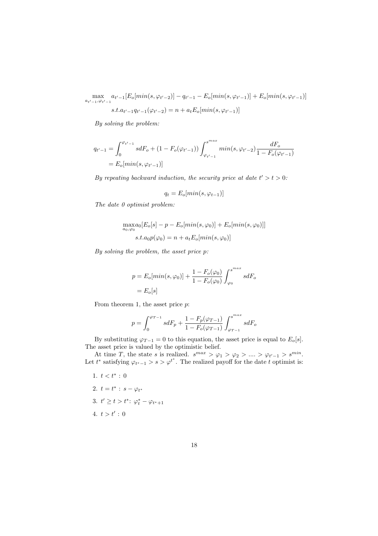$\max_{a_{t'-1}, \varphi_{t'-1}} a_{t'-1} [E_o[\min(s, \varphi_{t'-2})] - q_{t'-1} - E_o[\min(s, \varphi_{t'-1})] + E_o[\min(s, \varphi_{t'-1})]$ *s.t.a<sup>t</sup>*

$$
s.t. a_{t'-1}q_{t'-1}(\varphi_{t'-2}) = n + a_t E_o[\min(s, \varphi_{t'-1})]
$$

*By solving the problem:*

$$
q_{t'-1} = \int_0^{\varphi_{t'-1}} s dF_o + (1 - F_o(\varphi_{t'-1})) \int_{\varphi_{t'-1}}^{s^{max}} \min(s, \varphi_{t'-2}) \frac{dF_o}{1 - F_o(\varphi_{t'-1})}
$$
  
=  $E_o[\min(s, \varphi_{t'-1})]$ 

*By repeating backward induction, the security price at date*  $t' > t > 0$ :

$$
q_t = E_o[\min(s, \varphi_{t-1})]
$$

*The date 0 optimist problem:*

$$
\max_{a_0,\varphi_0} a_0 [E_o[s] - p - E_o[\min(s, \varphi_0)] + E_o[\min(s, \varphi_0)]]
$$
  

$$
s.t. a_0 p(\varphi_0) = n + a_t E_o[\min(s, \varphi_0)]
$$

*By solving the problem, the asset price p:*

$$
p = E_o[\min(s, \varphi_0)] + \frac{1 - F_o(\varphi_0)}{1 - F_o(\varphi_0)} \int_{\varphi_0}^{s^{\max}} s dF_o
$$

$$
= E_o[s]
$$

From theorem 1, the asset price *p*:

$$
p=\int_0^{\varphi_{T-1}}s dF_p +\frac{1-F_p(\varphi_{T-1})}{1-F_o(\varphi_{T-1})}\int_{\varphi_{T-1}}^{s^{max}}s dF_o
$$

By substituting  $\varphi_{T-1} = 0$  to this equation, the asset price is equal to  $E_o[s]$ . The asset price is valued by the optimistic belief.

At time *T*, the state *s* is realized.  $s^{max} > \varphi_1 > \varphi_2 > ... > \varphi_{t'-1} > s^{min}$ . Let  $t^*$  satisfying  $\varphi_{t^*-1} > s > \varphi^{t^*}$ . The realized payoff for the date *t* optimist is:

1.  $t < t^*$ : 0 2.  $t = t^* : s - \varphi_{t^*}$ 3.  $t' \geq t > t^*$ :  $\varphi_t^* - \varphi_{t^*+1}$  $4. \, t > t' : 0$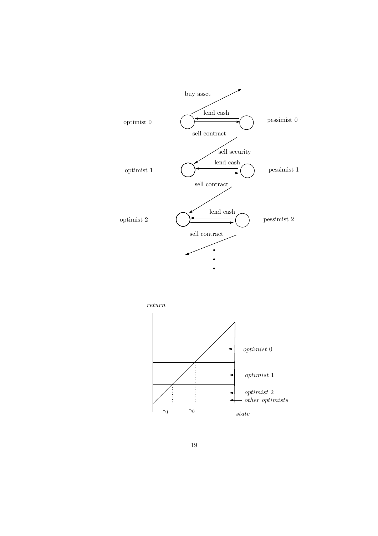

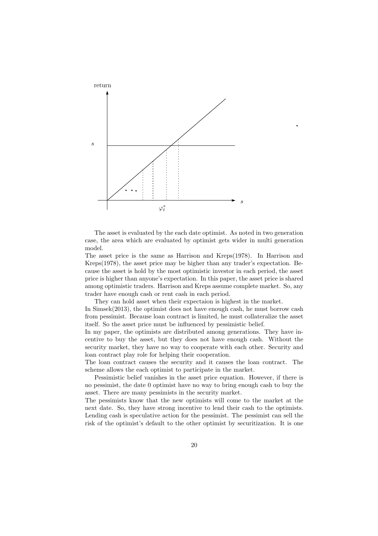

The asset is evaluated by the each date optimist. As noted in two generation case, the area which are evaluated by optimist gets wider in multi generation model.

The asset price is the same as Harrison and Kreps(1978). In Harrison and Kreps(1978), the asset price may be higher than any trader's expectation. Because the asset is hold by the most optimistic investor in each period, the asset price is higher than anyone's expectation. In this paper, the asset price is shared among optimistic traders. Harrison and Kreps assume complete market. So, any trader have enough cash or rent cash in each period.

They can hold asset when their expectaion is highest in the market.

In Simsek(2013), the optimist does not have enough cash, he must borrow cash from pessimist. Because loan contract is limited, he must collateralize the asset itself. So the asset price must be influenced by pessimistic belief.

In my paper, the optimists are distributed among generations. They have incentive to buy the asset, but they does not have enough cash. Without the security market, they have no way to cooperate with each other. Security and loan contract play role for helping their cooperation.

The loan contract causes the security and it causes the loan contract. The scheme allows the each optimist to participate in the market.

Pessimistic belief vanishes in the asset price equation. However, if there is no pessimist, the date 0 optimist have no way to bring enough cash to buy the asset. There are many pessimists in the security market.

The pessimists know that the new optimists will come to the market at the next date. So, they have strong incentive to lend their cash to the optimists. Lending cash is speculative action for the pessimist. The pessimist can sell the risk of the optimist's default to the other optimist by securitization. It is one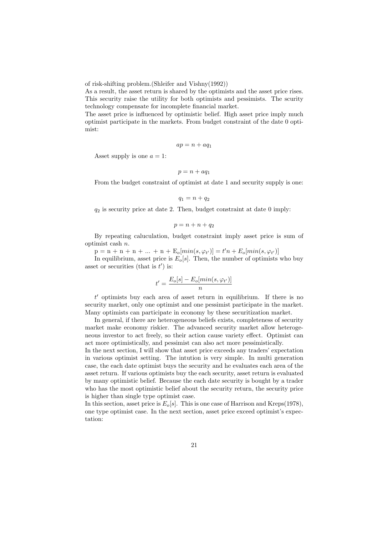of risk-shifting problem.(Shleifer and Vishny(1992))

As a result, the asset return is shared by the optimists and the asset price rises. This security raise the utility for both optimists and pessimists. The scurity technology compensate for incomplete financial market.

The asset price is influenced by optimistic belief. High asset price imply much optimist participate in the markets. From budget constraint of the date 0 optimist:

$$
ap=n+aq_1
$$

Asset supply is one  $a = 1$ :

$$
p=n+aq_1
$$

From the budget constraint of optimist at date 1 and security supply is one:

$$
q_1 = n + q_2
$$

 $q_2$  is security price at date 2. Then, budget constraint at date 0 imply:

$$
p = n + n + q_2
$$

By repeating caluculation, budget constraint imply asset price is sum of optimist cash *n*.

 $p = n + n + n + ... + n + E_o[min(s, \varphi_{t'})] = t'n + E_o[min(s, \varphi_{t'})]$ 

In equilibrium, asset price is  $E_o[s]$ . Then, the number of optimists who buy asset or securities (that is  $t'$ ) is:

$$
t' = \frac{E_o[s] - E_o[\min(s, \varphi_{t'})]}{n}
$$

*t <sup>0</sup>* optimists buy each area of asset return in equilibrium. If there is no security market, only one optimist and one pessimist participate in the market. Many optimists can participate in economy by these securitization market.

In general, if there are heterogeneous beliefs exists, completeness of security market make economy riskier. The advanced security market allow heterogeneous investor to act freely, so their action cause variety effect. Optimist can act more optimistically, and pessimist can also act more pessimistically.

In the next section, I will show that asset price exceeds any traders' expectation in various optimist setting. The intution is very simple. In multi generation case, the each date optimist buys the security and he evaluates each area of the asset return. If various optimists buy the each security, asset return is evaluated by many optimistic belief. Because the each date security is bought by a trader who has the most optimistic belief about the security return, the security price is higher than single type optimist case.

In this section, asset price is  $E_o[s]$ . This is one case of Harrison and Kreps(1978), one type optimist case. In the next section, asset price exceed optimist's expectation: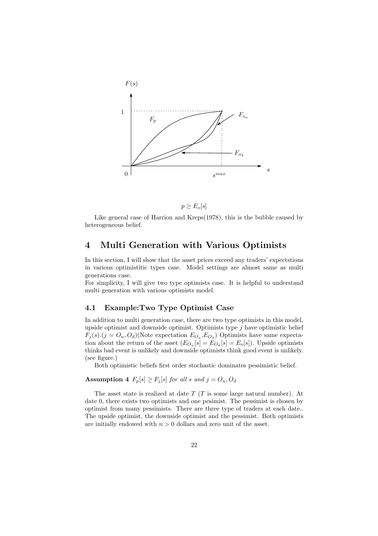



Like general case of Harrion and Kreps(1978), this is the bubble caused by heterogeneous belief.

## **4 Multi Generation with Various Optimists**

In this section, I will show that the asset prices exceed any traders' expectstions in various optimistitic types case. Model settings are almost same as multi generations case.

For simplicity, I will give two type optimists case. It is helpful to understand multi generation with various optimists model.

## **4.1 Example:Two Type Optimist Case**

In addition to multi generation case, there are two type optimists in this model, upside optimist and downside optimist. Optimists type *j* have optimistic belief  $F_j(s) \cdot (j = O_u, O_d)$ (Note expectation  $E_{O_u}, E_{O_d}$ ) Optimists have same expectation about the return of the asset  $(E_{O_u}[s] = E_{O_d}[s] = E_o[s])$ . Upside optimists thinks bad event is unlikely and downside optimists think good event is unlikely. (see figure.)

Both optimistic beliefs first order stochastic dominates pessimistic belief.

### **Assumption 4**  $F_p[s] \geq F_j[s]$  *for all s and*  $j = O_u, O_d$

The asset state is realized at date *T* (*T* is some large natural number). At date 0, there exists two optimists and one pesimist. The pessimist is chosen by optimist from many pessimists. There are three type of traders at each date.. The upside optimist, the downside optimist and the pessimist. Both optimists are initially endowed with  $n > 0$  dollars and zero unit of the asset.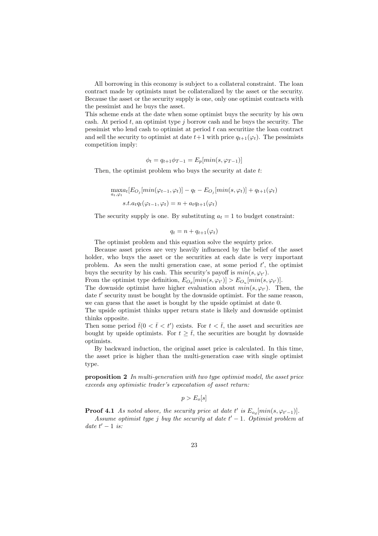All borrowing in this economy is subject to a collateral constraint. The loan contract made by optimists must be collateralized by the asset or the security. Because the asset or the security supply is one, only one optimist contracts with the pessimist and he buys the asset.

This scheme ends at the date when some optimist buys the security by his own cash. At period *t*, an optimist type *j* borrow cash and he buys the security. The pessimist who lend cash to optimist at period *t* can securitize the loan contract and sell the security to optimist at date  $t+1$  with price  $q_{t+1}(\varphi_t)$ . The pessimists competition imply:

$$
\phi_t = q_{t+1}\phi_{T-1} = E_p[\min(s, \varphi_{T-1})]
$$

Then, the optimist problem who buys the security at date *t*:

$$
\max_{a_t, \varphi_t} [E_{O_j}[min(\varphi_{t-1}, \varphi_t)] - q_t - E_{O_j}[min(s, \varphi_t)] + q_{t+1}(\varphi_t)
$$
  

$$
s.t. a_t q_t(\varphi_{t-1}, \varphi_t) = n + a_t q_{t+1}(\varphi_t)
$$

The security supply is one. By substituting  $a_t = 1$  to budget constraint:

$$
q_t = n + q_{t+1}(\varphi_t)
$$

The optimist problem and this equation solve the sequirty price.

Because asset prices are very heavily influenced by the belief of the asset holder, who buys the asset or the securities at each date is very important problem. As seen the multi generation case, at some period  $t'$ , the optimist buys the security by his cash. This security's payoff is  $min(s, \varphi_{t'})$ .

From the optimist type definition,  $E_{O_d}[min(s, \varphi_{t'})] > E_{O_u}[min(s, \varphi_{t'})]$ . The downside optimist have higher evaluation about  $min(s, \varphi_{t'})$ . Then, the date t' security must be bought by the downside optimist. For the same reason, we can guess that the asset is bought by the upside optimist at date 0.

The upside optimist thinks upper return state is likely and downside optimist thinks opposite.

Then some period  $\bar{t}(0 < \bar{t} < t')$  exists. For  $t < \bar{t}$ , the asset and securities are bought by upside optimists. For  $t \geq \overline{t}$ , the securities are bought by downside optimists.

By backward induction, the original asset price is calculated. In this time, the asset price is higher than the multi-generation case with single optimist type.

**proposition 2** *In multi-generation with two type optimist model, the asset price exceeds any optimistic trader's expecatation of asset return:*

$$
p>E_o[s]
$$

**Proof 4.1** *As noted above, the security price at date t' is*  $E_{o_d}[min(s, \varphi_{t'-1})]$ *.* 

*Assume optimist type j buy the security at date*  $t' - 1$ *. Optimist problem at date*  $t' - 1$  *is:*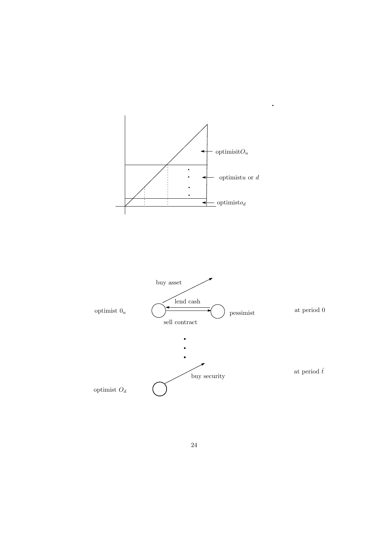

 $\ddot{\phantom{0}}$ 

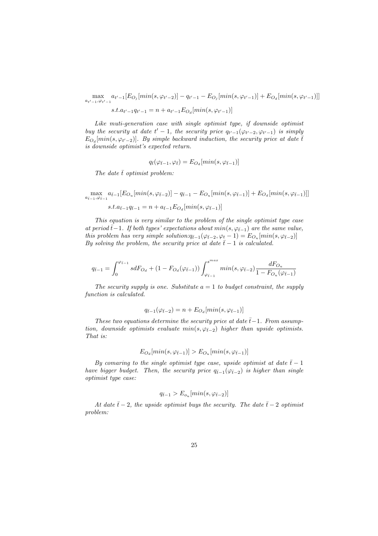$\max_{a_{t'-1},\varphi_{t'-1}} a_{t'-1}[E_{O_j}[min(s,\varphi_{t'-2})] - q_{t'-1} - E_{O_j}[min(s,\varphi_{t'-1})] + E_{O_d}[min(s,\varphi_{t'-1})]]$ 

 $s.t. a_{t'-1}q_{t'-1} = n + a_{t'-1}E_{O_d}[min(s, \varphi_{t'-1})]$ 

*Like muti-generation case with single optimist type, if downside optimist buy the security at date*  $t' - 1$ *, the security price*  $q_{t'-1}(\varphi_{t'-2}, \varphi_{t'-1})$  *is simply*  $E_{O_d}[min(s, \varphi_{t'-2})]$ *. By simple backward induction, the security price at date*  $\bar{t}$ *is downside optimist's expected return.*

$$
q_{\bar{t}}(\varphi_{\bar{t}-1}, \varphi_{\bar{t}}) = E_{O_d}[min(s, \varphi_{\bar{t}-1})]
$$

*The date*  $\bar{t}$  *optimist problem:* 

$$
\max_{a_{\bar{t}-1},\varphi_{\bar{t}-1}} a_{\bar{t}-1} [E_{O_u}[min(s,\varphi_{\bar{t}-2})] - q_{\bar{t}-1} - E_{O_u}[min(s,\varphi_{\bar{t}-1})] + E_{O_d}[min(s,\varphi_{\bar{t}-1})]]
$$
  

$$
s.t. a_{\bar{t}-1}q_{\bar{t}-1} = n + a_{\bar{t}-1} E_{O_d}[min(s,\varphi_{\bar{t}-1})]
$$

*This equation is very similar to the problem of the single optimist type case at period*  $\bar{t}$ −1*. If both types' expectations about*  $min(s, \varphi_{\bar{t}-1})$  *are the same value, this problem has very simple solution:* $q_{\bar{t}-1}(\varphi_{\bar{t}-2}, \varphi_{\underline{t}} - 1) = E_{O_u}[min(s, \varphi_{\bar{t}-2})]$ *By solving the problem, the security price at date*  $\bar{t}$  − 1 *is calculated.* 

$$
q_{\bar{t}-1} = \int_0^{\varphi_{\bar{t}-1}} s dF_{O_d} + (1-F_{O_d}(\varphi_{\bar{t}-1})) \int_{\varphi_{\bar{t}-1}}^{s^{max}} min(s,\varphi_{\bar{t}-2}) \frac{dF_{O_u}}{1-F_{O_u}(\varphi_{\bar{t}-1})}
$$

*The security supply is one. Substitute*  $a = 1$  *to budget constraint, the supply function is calculated.*

$$
q_{\bar{t}-1}(\varphi_{\bar{t}-2}) = n + E_{O_d}[min(s, \varphi_{\bar{t}-1})]
$$

*These two equations determine the security price at date*  $\bar{t}$ −1*. From assumption, downside optimists evaluate*  $min(s, \varphi_{\bar{t}-2})$  *higher than upside optimists. That is:*

$$
E_{O_d}[min(s, \varphi_{\bar{t}-1})] > E_{O_u}[min(s, \varphi_{\bar{t}-1})]
$$

*By comaring to the single optimist type case, upside optimist at date*  $\bar{t}$  − 1 *have bigger budget. Then, the security price*  $q_{\bar{t}-1}(\varphi_{\bar{t}-2})$  *is higher than single optimist type case:*

$$
q_{\bar{t}-1} > E_{o_u}[min(s, \varphi_{\bar{t}-2})]
$$

*At date*  $\bar{t}$  − 2*, the upside optimist buys the security. The date*  $\bar{t}$  − 2 *optimist problem:*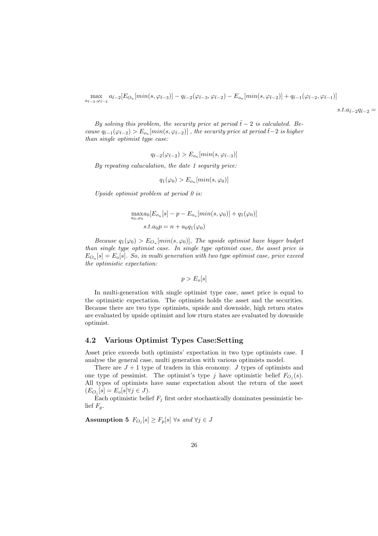$$
\max_{a_{\bar{t}-2},\varphi_{\bar{t}-2}} a_{\bar{t}-2} [E_{O_u}[min(s,\varphi_{\bar{t}-3})] - q_{\bar{t}-2}(\varphi_{\bar{t}-3},\varphi_{\bar{t}-2}) - E_{o_u}[min(s,\varphi_{\bar{t}-2})] + q_{\bar{t}-1}(\varphi_{\bar{t}-2},\varphi_{\bar{t}-1})]
$$

 $s.t.a_{\bar{t}-2}q_{\bar{t}-2} =$ 

*By solving this problem, the security price at period*  $\bar{t}$  − 2 *is calculated. Be-* $\text{cases } q_{\bar{t}-1}(\varphi_{\bar{t}-2}) > E_{o_u}[\min(s, \varphi_{\bar{t}-2})]$ , the security price at period  $\bar{t}-2$  is higher *than single optimist type case:*

$$
q_{\bar{t}-2}(\varphi_{\bar{t}-2}) > E_{o_u}[min(s, \varphi_{\bar{t}-3})]
$$

*By repeating caluculation, the date 1 sequrity price:*

$$
q_1(\varphi_0) > E_{o_u}[min(s, \varphi_0)]
$$

*Upside optimist problem at period 0 is:*

$$
\max_{a_0,\varphi_0} a_0 [E_{o_u}[s] - p - E_{o_u}[min(s, \varphi_0)] + q_1(\varphi_0)]
$$
  
s.t.  $a_0 p = n + a_0 q_1(\varphi_0)$ 

*Because*  $q_1(\varphi_0) > E_{O_u}[min(s, \varphi_0)]$ , The upside optimist have bigger budget *than single type optimist case. In single type optimist case, the asset price is*  $E_{O_u}[s] = E_o[s]$ *. So, in multi generation with two type optimist case, price exceed the optimistic expectation:*

$$
p > E_o[s]
$$

In multi-generation with single optimist type case, asset price is equal to the optimistic expectation. The optimists holds the asset and the securities. Because there are two type optimists, upside and downside, high return states are evaluated by upside optimist and low rturn states are evaluated by downside optimist.

#### **4.2 Various Optimist Types Case:Setting**

Asset price exceeds both optimists' expectation in two type optimists case. I analyse the general case, multi generation with various optimists model.

There are  $J + 1$  type of traders in this economy. *J* types of optimists and one type of pessimist. The optimist's type *j* have optimistic belief  $F_{O_j}(s)$ . All types of optimists have same expectation about the return of the asset  $(E_{O_j}[s] = E_o[s] \forall j \in J).$ 

Each optimistic belief  $F_j$  first order stochastically dominates pessimistic belief  $F_p$ .

Assumption 5  $F_{O_j}[s] \geq F_p[s]$   $\forall s$  *and*  $\forall j \in J$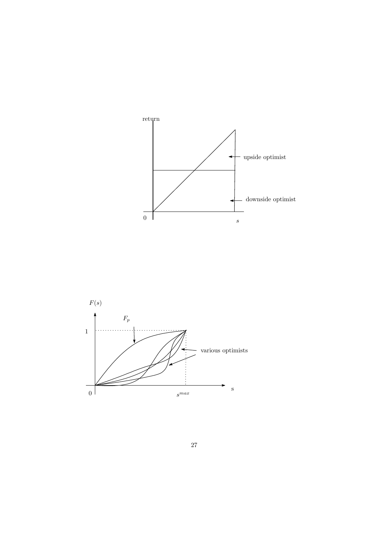

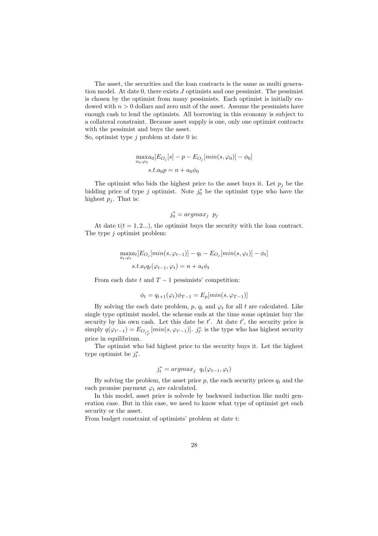The asset, the securities and the loan contracts is the same as multi generation model. At date 0, there exists *J* optimists and one pessimist. The pessimist is chosen by the optimist from many pessimists. Each optimist is initially endowed with  $n > 0$  dollars and zero unit of the asset. Assume the pessimists have enough cash to lend the optimists. All borrowing in this economy is subject to a collateral constraint. Because asset supply is one, only one optimist contracts with the pessimist and buys the asset.

So, optimist type *j* problem at date 0 is:

$$
\max_{a_0, \varphi_0} [E_{O_j}[s] - p - E_{O_j}[min(s, \varphi_0)] - \phi_0]
$$
  
s.t.  $a_0 p = n + a_0 \phi_0$ 

The optimist who bids the highest price to the asset buys it. Let  $p_j$  be the bidding price of type *j* optimist. Note  $j_0^*$  be the optimist type who have the highest  $p_j$ . That is:

$$
j_0^* = argmax_j \ p_j
$$

At date  $t(t = 1, 2, ...)$ , the optimist buys the security with the loan contract. The type *j* optimist problem:

$$
\max_{a_t, \varphi_t} [E_{O_j}[min(s, \varphi_{t-1})] - q_t - E_{O_j}[min(s, \varphi_t)] - \phi_t]
$$
  
s.t.  $a_t q_t(\varphi_{t-1}, \varphi_t) = n + a_t \phi_t$ 

From each date  $t$  and  $T-1$  pessimists' competition:

$$
\phi_t = q_{t+1}(\varphi_t)\phi_{T-1} = E_p[\min(s, \varphi_{T-1})]
$$

By solving the each date problem,  $p$ ,  $q_t$  and  $\varphi_t$  for all  $t$  are calculated. Like single type optimist model, the scheme ends at the time some optimist buy the security by his own cash. Let this date be  $t'$ . At date  $t'$ , the security price is simply  $q(\varphi_{t'-1}) = E_{O_{j_{t'}^*}}[min(s, \varphi_{t'-1})]$ .  $j_{t'}^*$  is the type who has highest security price in equilibrium.

The optimist who bid highest price to the security buys it. Let the highest type optimist be  $j_t^*$ .

$$
j_t^* = argmax_j \ q_t(\varphi_{t-1}, \varphi_t)
$$

By solving the problem, the asset price  $p$ , the each security prices  $q_t$  and the each promise payment  $\varphi_t$  are calculated.

In this model, asset price is solvede by backward induction like multi generation case. But in this case, we need to know what type of optimist get each security or the asset.

From budget constraint of optimists' problem at date t: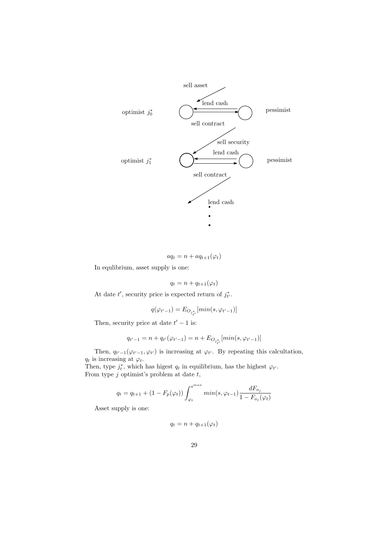

$$
aq_t = n + aq_{t+1}(\varphi_t)
$$

In equlibrium, asset supply is one:

$$
q_t = n + q_{t+1}(\varphi_t)
$$

At date  $t'$ , security price is expected return of  $j_{t'}^*$ .

$$
q(\varphi_{t'-1}) = E_{O_{j_{t'}^*}}[min(s, \varphi_{t'-1})]
$$

Then, security price at date  $t' - 1$  is:

$$
q_{t'-1} = n + q_{t'}(\varphi_{t'-1}) = n + E_{O_{j_{t'}^*}}[min(s, \varphi_{t'-1})]
$$

Then,  $q_{t'-1}(\varphi_{t'-1}, \varphi_{t'})$  is increasing at  $\varphi_{t'}$ . By repeating this calcultation,  $q_t$  is increasing at  $\varphi_t$ .

Then, type  $j_t^*$ , which has higest  $q_t$  in equilibrium, has the highest  $\varphi_{t'}$ . From type *j* optimist's problem at date *t*,

$$
q_{t} = q_{t+1} + (1 - F_{p}(\varphi_{t})) \int_{\varphi_{t}}^{s^{max}} \min(s, \varphi_{t-1}) \frac{dF_{o_{j}}}{1 - F_{o_{j}}(\varphi_{t})}
$$

Asset supply is one:

$$
q_t = n + q_{t+1}(\varphi_t)
$$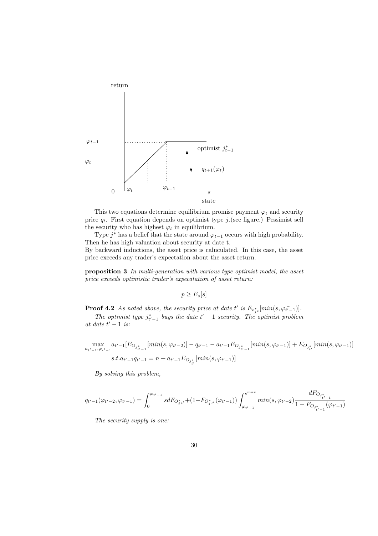

This two equations determine equilibrium promise payment  $\varphi_t$  and security price  $q_t$ . First equation depends on optimist type *j*.(see figure.) Pessimist sell the security who has highest  $\varphi_t$  in equilibrium.

Type  $j^*$  has a belief that the state around  $\varphi_{t-1}$  occurs with high probability. Then he has high valuation about security at date t.

By backward inductions, the asset price is caluculated. In this case, the asset price exceeds any trader's expectation about the asset return.

**proposition 3** *In multi-generation with various type optimist model, the asset price exceeds optimistic trader's expecatation of asset return:*

 $p \geq E_o[s]$ 

**Proof 4.2** *As noted above, the security price at date t' is*  $E_{o_j^*t}[min(s, \varphi_{t-1})]$ *.* 

*The optimist type*  $j_{t'-1}^*$  *buys the date*  $t'-1$  *security. The optimist problem*  $\int$  *at date*  $t' - 1$  *is:* 

$$
\max_{a_{t'-1}, \varphi_{t'-1}} a_{t'-1} [E_{O_{j_{t'-1}^*}}[min(s, \varphi_{t'-2})] - q_{t'-1} - a_{t'-1} E_{O_{j_{t'-1}^*}}[min(s, \varphi_{t'-1})] + E_{O_{j_{t'}^*}}[min(s, \varphi_{t'-1})]
$$
  
s.t.  $a_{t'-1}q_{t'-1} = n + a_{t'-1} E_{O_{j_{t'}^*}}[min(s, \varphi_{t'-1})]$ 

*By solving this problem,*

$$
q_{t'-1}(\varphi_{t'-2},\varphi_{t'-1})=\int_{0}^{\varphi_{t'-1}}s dF_{O_{j}^{\ast}t'}+(1-F_{O_{j}^{\ast}t'}(\varphi_{t'-1}))\int_{\varphi_{t'-1}}^{s^{max}}min(s,\varphi_{t'-2})\frac{dF_{O_{j_{t'-1}^{\ast}}}}{1-F_{O_{j_{t'-1}^{\ast}}}(\varphi_{t'-1})}
$$

*The security supply is one:*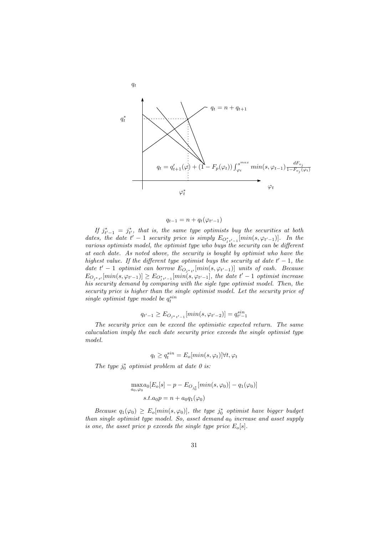

$$
q_{t-1} = n + q_t(\varphi_{t'-1})
$$

*If*  $j_{t'-1}^* = j_{t'}^*$ , that is, the same type optimists buy the securities at both *dates, the date*  $t' - 1$  *security price is simply*  $E_{O_j^*t'-1}[min(s, \varphi_{t'-1})]$ . In the *various optimists model, the optimist type who buys the security can be different at each date. As noted above, the security is bought by optimist who have the highest value. If the different type optimist buys the security at date*  $t' - 1$ , the *date*  $t' - 1$  *optimist can borrow*  $E_{O_{j^*t'}}[min(s, \varphi_{t'-1})]$  *units of cash. Because*  $E_{O_{j^*t'}}[min(s, \varphi_{t'-1})] \ge E_{O_{j^*t'-1}'}[min(s, \varphi_{t'-1}],$  the date  $t'-1$  optimist increase *his security demand by comparing with the sigle type optimist model. Then, the security price is higher than the single optimist model. Let the security price of single optimist type model be*  $q_t^{sin}$ 

$$
q_{t'-1} \ge E_{O_{j^*t'-1}}[min(s, \varphi_{t'-2})] = q_{t'-1}^{sin}
$$

*The security price can be exceed the optimistic expected return. The same caluculation imply the each date security price exceeds the single optimist type model.*

$$
q_t \ge q_t^{sin} = E_o[\min(s, \varphi_t)] \forall t, \varphi_t
$$

*The type*  $j_0^*$  *optimist problem at date 0 is:* 

$$
\max_{a_0,\varphi_0} a_0 [E_o[s] - p - E_{O_{j_0^*}}[min(s,\varphi_0)] - q_1(\varphi_0)]
$$
  
s.t.  $a_0 p = n + a_0 q_1(\varphi_0)$ 

*Because*  $q_1(\varphi_0) \ge E_o[\min(s, \varphi_0)]$ , the type  $j_0^*$  optimist have bigger budget *than single optimist type model. So, asset demand*  $a_0$  *increase and asset supply is one, the asset price p exceeds the single type price*  $E_o[s]$ *.*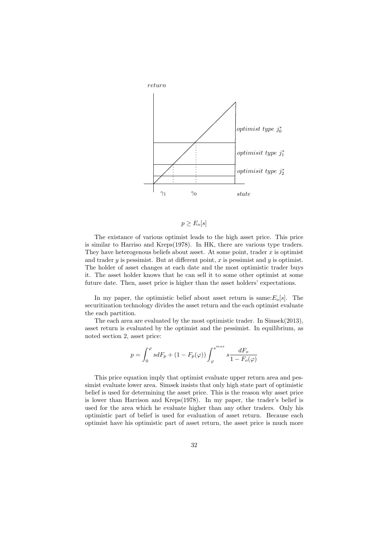

$$
p \ge E_o[s]
$$

The existance of various optimist leads to the high asset price. This price is similar to Harriso and Kreps(1978). In HK, there are various type traders. They have heterogenous beliefs about asset. At some point, trader *x* is optimist and trader *y* is pessimist. But at different point, *x* is pessimist and *y* is optimist. The holder of asset changes at each date and the most optimistic trader buys it. The asset holder knows that he can sell it to some other optimist at some future date. Then, asset price is higher than the asset holders' expectations.

In my paper, the optimistic belief about asset return is same: $E_o[s]$ . The securitization technology divides the asset return and the each optimist evaluate the each partition.

The each area are evaluated by the most optimistic trader. In Simsek(2013), asset return is evaluated by the optimist and the pessimist. In equilibrium, as noted section 2, asset price:

$$
p=\int_0^\varphi s dF_p + (1-F_p(\varphi)) \int_\varphi^{s^{max}} s \frac{dF_o}{1-F_o(\varphi)}
$$

This price equation imply that optimist evaluate upper return area and pessimist evaluate lower area. Simsek insists that only high state part of optimistic belief is used for determining the asset price. This is the reason why asset price is lower than Harrison and Kreps(1978). In my paper, the trader's belief is used for the area which he evaluate higher than any other traders. Only his optimistic part of belief is used for evaluation of asset return. Because each optimist have his optimistic part of asset return, the asset price is much more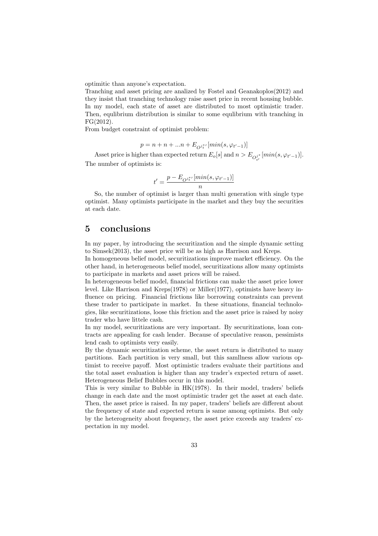optimitic than anyone's expectation.

Tranching and asset pricing are analized by Fostel and Geanakoplos(2012) and they insist that tranching technology raise asset price in recent housing bubble. In my model, each state of asset are distributed to most optimistic trader. Then, equlibrium distribution is similar to some equlibrium with tranching in FG(2012).

From budget constraint of optimist problem:

$$
p = n + n + \dots + E_{O^{j_t^{*'}}}[min(s, \varphi_{t'-1})]
$$

Asset price is higher than expected return  $E_o[s]$  and  $n > E_{O_{t'}^{j*}}[min(s, \varphi_{t'-1})]$ . The number of optimists is:

$$
t'=\frac{p-E_{O^{j_t^{*}}}[min(s,\varphi_{t'-1})]}{n}
$$

So, the number of optimist is larger than multi generation with single type optimist. Many optimists participate in the market and they buy the securities at each date.

## **5 conclusions**

In my paper, by introducing the securitization and the simple dynamic setting to Simsek(2013), the asset price will be as high as Harrison and Kreps.

In homogeneous belief model, securitizations improve market efficiency. On the other hand, in heterogeneous belief model, securitizations allow many optimists to participate in markets and asset prices will be raised.

In heterogeneous belief model, financial frictions can make the asset price lower level. Like Harrison and Kreps(1978) or Miller(1977), optimists have heavy influence on pricing. Financial frictions like borrowing constraints can prevent these trader to participate in market. In these situations, financial technologies, like securitizations, loose this friction and the asset price is raised by noisy trader who have littele cash.

In my model, securitizations are very important. By securitizations, loan contracts are appealing for cash lender. Because of speculative reason, pessimists lend cash to optimists very easily.

By the dynamic securitization scheme, the asset return is distributed to many partitions. Each partition is very small, but this samllness allow various optimist to receive payoff. Most optimistic traders evaluate their partitions and the total asset evaluation is higher than any trader's expected return of asset. Heterogeneous Belief Bubbles occur in this model.

This is very similar to Bubble in HK(1978). In their model, traders' beliefs change in each date and the most optimistic trader get the asset at each date. Then, the asset price is raised. In my paper, traders' beliefs are different about the frequency of state and expected return is same among optimists. But only by the heterogeneity about frequency, the asset price exceeds any traders' expectation in my model.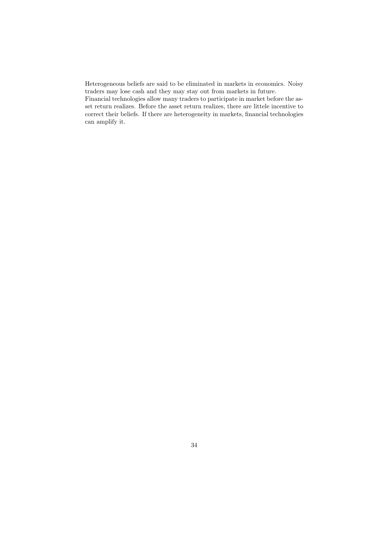Heterogeneous beliefs are said to be eliminated in markets in economics. Noisy traders may lose cash and they may stay out from markets in future.

Financial technologies allow many traders to participate in market before the asset return realizes. Before the asset return realizes, there are littele incentive to correct their beliefs. If there are heterogeneity in markets, financial technologies can amplify it.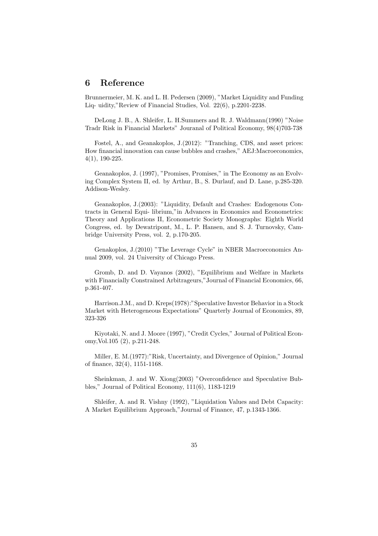## **6 Reference**

Brunnermeier, M. K. and L. H. Pedersen (2009), "Market Liquidity and Funding Liq- uidity,"Review of Financial Studies, Vol. 22(6), p.2201-2238.

DeLong J. B., A. Shleifer, L. H.Summers and R. J. Waldmann(1990) "Noise Tradr Risk in Financial Markets" Jouranal of Political Economy, 98(4)703-738

Fostel, A., and Geanakoplos, J.(2012): "Tranching, CDS, and asset prices: How financial innovation can cause bubbles and crashes," AEJ:Macroeconomics, 4(1), 190-225.

Geanakoplos, J. (1997), "Promises, Promises," in The Economy as an Evolving Complex System II, ed. by Arthur, B., S. Durlauf, and D. Lane, p.285-320. Addison-Wesley.

Geanakoplos, J.(2003): "Liquidity, Default and Crashes: Endogenous Contracts in General Equi- librium,"in Advances in Economics and Econometrics: Theory and Applications II, Econometric Society Monographs: Eighth World Congress, ed. by Dewatripont, M., L. P. Hansen, and S. J. Turnovsky, Cambridge University Press, vol. 2, p.170-205.

Genakoplos, J.(2010) "The Leverage Cycle" in NBER Macroeconomics Annual 2009, vol. 24 University of Chicago Press.

Gromb, D. and D. Vayanos (2002), "Equilibrium and Welfare in Markets with Financially Constrained Arbitrageurs,"Journal of Financial Economics, 66, p.361-407.

Harrison.J.M., and D. Kreps(1978):"Speculative Investor Behavior in a Stock Market with Heterogeneous Expectations" Quarterly Journal of Economics, 89, 323-326

Kiyotaki, N. and J. Moore (1997), "Credit Cycles," Journal of Political Economy,Vol.105 (2), p.211-248.

Miller, E. M.(1977):"Risk, Uncertainty, and Divergence of Opinion," Journal of finance, 32(4), 1151-1168.

Sheinkman, J. and W. Xiong(2003) "Overconfidence and Speculative Bubbles," Journal of Political Economy, 111(6), 1183-1219

Shleifer, A. and R. Vishny (1992), "Liquidation Values and Debt Capacity: A Market Equilibrium Approach,"Journal of Finance, 47, p.1343-1366.